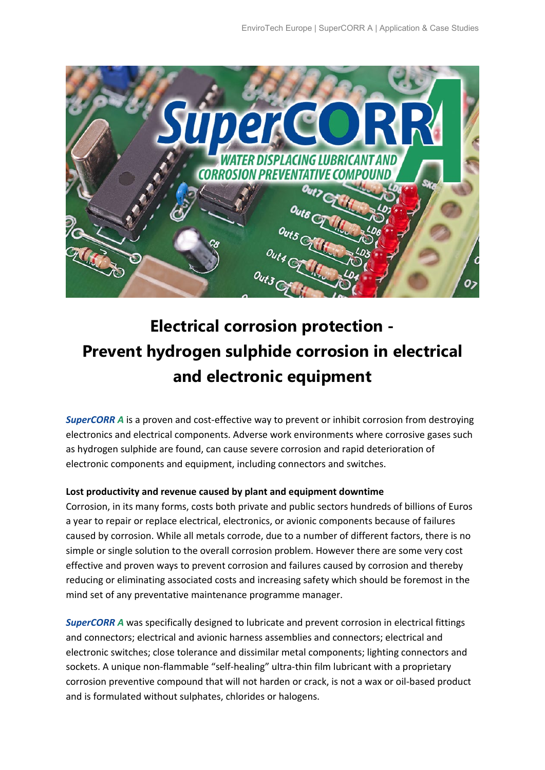

## **Electrical corrosion protection - Prevent hydrogen sulphide corrosion in electrical and electronic equipment**

*SuperCORR A* is a proven and cost-effective way to prevent or inhibit corrosion from destroying electronics and electrical components. Adverse work environments where corrosive gases such as hydrogen sulphide are found, can cause severe corrosion and rapid deterioration of electronic components and equipment, including connectors and switches.

## **Lost productivity and revenue caused by plant and equipment downtime**

Corrosion, in its many forms, costs both private and public sectors hundreds of billions of Euros a year to repair or replace electrical, electronics, or avionic components because of failures caused by corrosion. While all metals corrode, due to a number of different factors, there is no simple or single solution to the overall corrosion problem. However there are some very cost effective and proven ways to prevent corrosion and failures caused by corrosion and thereby reducing or eliminating associated costs and increasing safety which should be foremost in the mind set of any preventative maintenance programme manager.

*SuperCORR A* was specifically designed to lubricate and prevent corrosion in electrical fittings and connectors; electrical and avionic harness assemblies and connectors; electrical and electronic switches; close tolerance and dissimilar metal components; lighting connectors and sockets. A unique non-flammable "self-healing" ultra-thin film lubricant with a proprietary corrosion preventive compound that will not harden or crack, is not a wax or oil-based product and is formulated without sulphates, chlorides or halogens.